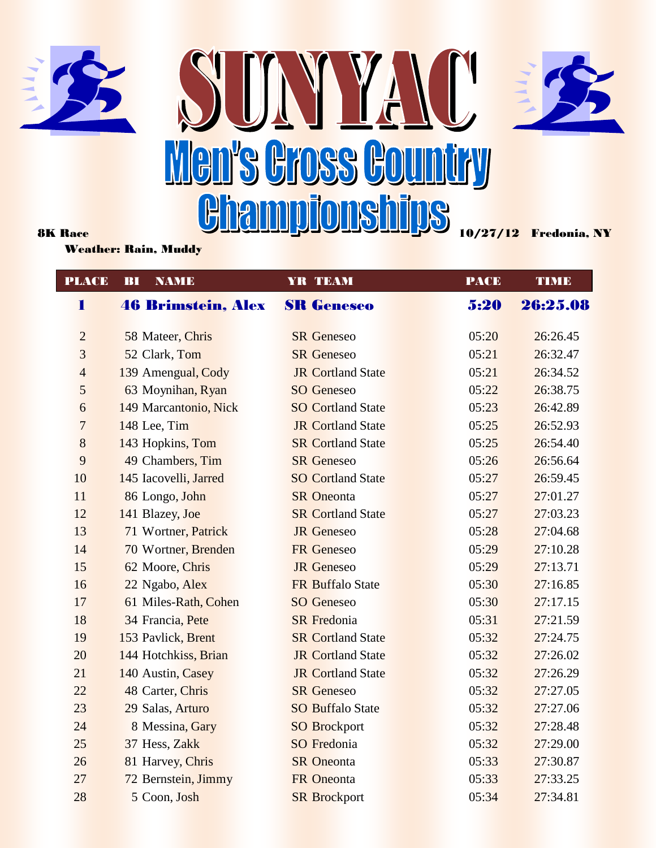





Weather: Rain, Muddy

 1 46 Brimstein, Alex SR Geneseo 5:20 26:25.08 2 58 Mateer, Chris SR Geneseo 05:20 26:26.45 3 52 Clark, Tom SR Geneseo 05:21 26:32.47 4 139 Amengual, Cody JR Cortland State 05:21 26:34.52 5 63 Moynihan, Ryan SO Geneseo 05:22 26:38.75 6 149 Marcantonio, Nick SO Cortland State 05:23 26:42.89 7 148 Lee, Tim JR Cortland State 05:25 26:52.93 8 143 Hopkins, Tom SR Cortland State 05:25 26:54.40 9 49 Chambers, Tim SR Geneseo 05:26 26:56.64 10 145 Iacovelli, Jarred SO Cortland State 05:27 26:59.45 11 86 Longo, John SR Oneonta 05:27 27:01.27 12 141 Blazey, Joe SR Cortland State 05:27 27:03.23 13 71 Wortner, Patrick JR Geneseo 05:28 27:04.68 14 70 Wortner, Brenden FR Geneseo 05:29 27:10.28 15 62 Moore, Chris JR Geneseo 05:29 27:13.71 16 22 Ngabo, Alex FR Buffalo State 05:30 27:16.85 17 61 Miles-Rath, Cohen SO Geneseo 05:30 27:17.15 18 34 Francia, Pete SR Fredonia 05:31 27:21.59 19 153 Pavlick, Brent SR Cortland State 05:32 27:24.75 20 144 Hotchkiss, Brian JR Cortland State 05:32 27:26.02 21 140 Austin, Casey JR Cortland State 05:32 27:26.29 22 48 Carter, Chris SR Geneseo 05:32 27:27.05 23 29 Salas, Arturo SO Buffalo State 05:32 27:27.06 24 8 Messina, Gary SO Brockport 05:32 27:28.48 25 37 Hess, Zakk SO Fredonia 05:32 27:29.00 26 81 Harvey, Chris SR Oneonta 05:33 27:30.87 27 72 Bernstein, Jimmy FR Oneonta 05:33 27:33.25 28 5 Coon, Josh SR Brockport 05:34 27:34.81 PLACE BI NAME YR TEAM PACE TIME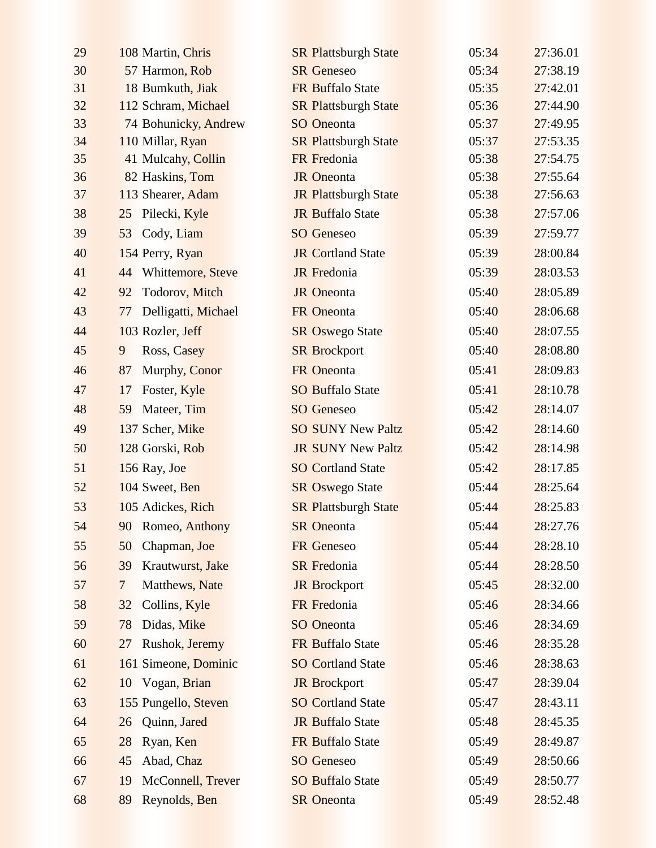| 29 | 108 Martin, Chris                | <b>SR Plattsburgh State</b> | 05:34 | 27:36.01 |
|----|----------------------------------|-----------------------------|-------|----------|
| 30 | 57 Harmon, Rob                   | <b>SR</b> Geneseo           | 05:34 | 27:38.19 |
| 31 | 18 Bumkuth, Jiak                 | FR Buffalo State            | 05:35 | 27:42.01 |
| 32 | 112 Schram, Michael              | <b>SR Plattsburgh State</b> | 05:36 | 27:44.90 |
| 33 | 74 Bohunicky, Andrew             | <b>SO</b> Oneonta           | 05:37 | 27:49.95 |
| 34 | 110 Millar, Ryan                 | <b>SR Plattsburgh State</b> | 05:37 | 27:53.35 |
| 35 | 41 Mulcahy, Collin               | FR Fredonia                 | 05:38 | 27:54.75 |
| 36 | 82 Haskins, Tom                  | <b>JR</b> Oneonta           | 05:38 | 27:55.64 |
| 37 | 113 Shearer, Adam                | <b>JR Plattsburgh State</b> | 05:38 | 27:56.63 |
| 38 | Pilecki, Kyle<br>25              | <b>JR Buffalo State</b>     | 05:38 | 27:57.06 |
| 39 | Cody, Liam<br>53                 | <b>SO</b> Geneseo           | 05:39 | 27:59.77 |
| 40 | 154 Perry, Ryan                  | <b>JR Cortland State</b>    | 05:39 | 28:00.84 |
| 41 | 44 Whittemore, Steve             | <b>JR</b> Fredonia          | 05:39 | 28:03.53 |
| 42 | 92<br>Todorov, Mitch             | <b>JR</b> Oneonta           | 05:40 | 28:05.89 |
| 43 | Delligatti, Michael<br>77        | <b>FR</b> Oneonta           | 05:40 | 28:06.68 |
| 44 | 103 Rozler, Jeff                 | <b>SR Oswego State</b>      | 05:40 | 28:07.55 |
| 45 | 9<br>Ross, Casey                 | <b>SR Brockport</b>         | 05:40 | 28:08.80 |
| 46 | 87<br>Murphy, Conor              | FR Oneonta                  | 05:41 | 28:09.83 |
| 47 | Foster, Kyle<br>17               | <b>SO Buffalo State</b>     | 05:41 | 28:10.78 |
| 48 | 59<br>Mateer, Tim                | <b>SO</b> Geneseo           | 05:42 | 28:14.07 |
| 49 | 137 Scher, Mike                  | <b>SO SUNY New Paltz</b>    | 05:42 | 28:14.60 |
| 50 | 128 Gorski, Rob                  | <b>JR SUNY New Paltz</b>    | 05:42 | 28:14.98 |
| 51 | 156 Ray, Joe                     | <b>SO Cortland State</b>    | 05:42 | 28:17.85 |
| 52 | 104 Sweet, Ben                   | <b>SR Oswego State</b>      | 05:44 | 28:25.64 |
| 53 | 105 Adickes, Rich                | <b>SR Plattsburgh State</b> | 05:44 | 28:25.83 |
| 54 | 90 Romeo, Anthony                | <b>SR</b> Oneonta           | 05:44 | 28:27.76 |
| 55 | Chapman, Joe<br>50               | <b>FR</b> Geneseo           | 05:44 | 28:28.10 |
| 56 | Krautwurst, Jake<br>39           | <b>SR</b> Fredonia          | 05:44 | 28:28.50 |
| 57 | $\overline{7}$<br>Matthews, Nate | <b>JR</b> Brockport         | 05:45 | 28:32.00 |
| 58 | Collins, Kyle<br>32              | FR Fredonia                 | 05:46 | 28:34.66 |
| 59 | Didas, Mike<br>78                | <b>SO</b> Oneonta           | 05:46 | 28:34.69 |
| 60 | Rushok, Jeremy<br>27             | <b>FR Buffalo State</b>     | 05:46 | 28:35.28 |
| 61 | 161 Simeone, Dominic             | <b>SO Cortland State</b>    | 05:46 | 28:38.63 |
| 62 | 10 Vogan, Brian                  | <b>JR</b> Brockport         | 05:47 | 28:39.04 |
| 63 | 155 Pungello, Steven             | <b>SO Cortland State</b>    | 05:47 | 28:43.11 |
| 64 | Quinn, Jared<br>26               | <b>JR Buffalo State</b>     | 05:48 | 28:45.35 |
| 65 | 28<br>Ryan, Ken                  | FR Buffalo State            | 05:49 | 28:49.87 |
| 66 | Abad, Chaz<br>45                 | <b>SO</b> Geneseo           | 05:49 | 28:50.66 |
| 67 | McConnell, Trever<br>19          | <b>SO Buffalo State</b>     | 05:49 | 28:50.77 |
| 68 | Reynolds, Ben<br>89              | <b>SR</b> Oneonta           | 05:49 | 28:52.48 |
|    |                                  |                             |       |          |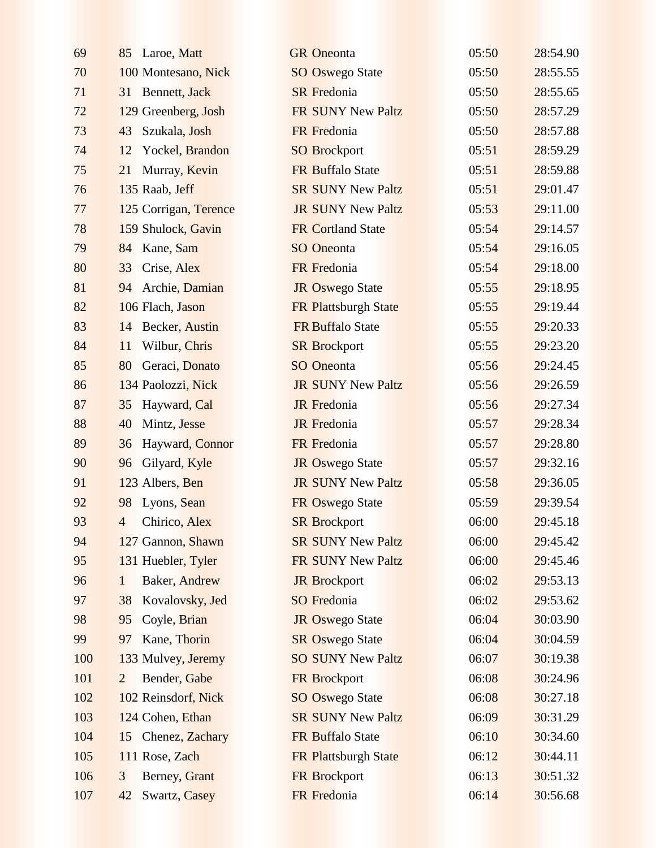| 69  | 85 Laroe, Matt                  | <b>GR</b> Oneonta        | 05:50 | 28:54.90 |
|-----|---------------------------------|--------------------------|-------|----------|
| 70  | 100 Montesano, Nick             | <b>SO Oswego State</b>   | 05:50 | 28:55.55 |
| 71  | 31 Bennett, Jack                | <b>SR</b> Fredonia       | 05:50 | 28:55.65 |
| 72  | 129 Greenberg, Josh             | FR SUNY New Paltz        | 05:50 | 28:57.29 |
| 73  | 43<br>Szukala, Josh             | FR Fredonia              | 05:50 | 28:57.88 |
| 74  | Yockel, Brandon<br>12           | <b>SO Brockport</b>      | 05:51 | 28:59.29 |
| 75  | Murray, Kevin<br>21             | <b>FR Buffalo State</b>  | 05:51 | 28:59.88 |
| 76  | 135 Raab, Jeff                  | <b>SR SUNY New Paltz</b> | 05:51 | 29:01.47 |
| 77  | 125 Corrigan, Terence           | <b>JR SUNY New Paltz</b> | 05:53 | 29:11.00 |
| 78  | 159 Shulock, Gavin              | <b>FR Cortland State</b> | 05:54 | 29:14.57 |
| 79  | Kane, Sam<br>84                 | <b>SO</b> Oneonta        | 05:54 | 29:16.05 |
| 80  | 33<br>Crise, Alex               | FR Fredonia              | 05:54 | 29:18.00 |
| 81  | Archie, Damian<br>94            | <b>JR Oswego State</b>   | 05:55 | 29:18.95 |
| 82  | 106 Flach, Jason                | FR Plattsburgh State     | 05:55 | 29:19.44 |
| 83  | <b>Becker</b> , Austin<br>14    | <b>FR Buffalo State</b>  | 05:55 | 29:20.33 |
| 84  | Wilbur, Chris<br>11             | <b>SR Brockport</b>      | 05:55 | 29:23.20 |
| 85  | Geraci, Donato<br>80            | <b>SO</b> Oneonta        | 05:56 | 29:24.45 |
| 86  | 134 Paolozzi, Nick              | <b>JR SUNY New Paltz</b> | 05:56 | 29:26.59 |
| 87  | Hayward, Cal<br>35              | <b>JR</b> Fredonia       | 05:56 | 29:27.34 |
| 88  | 40<br>Mintz, Jesse              | <b>JR</b> Fredonia       | 05:57 | 29:28.34 |
| 89  | Hayward, Connor<br>36           | FR Fredonia              | 05:57 | 29:28.80 |
| 90  | 96<br>Gilyard, Kyle             | <b>JR Oswego State</b>   | 05:57 | 29:32.16 |
| 91  | 123 Albers, Ben                 | <b>JR SUNY New Paltz</b> | 05:58 | 29:36.05 |
| 92  | 98<br>Lyons, Sean               | FR Oswego State          | 05:59 | 29:39.54 |
| 93  | Chirico, Alex<br>$\overline{4}$ | <b>SR Brockport</b>      | 06:00 | 29:45.18 |
| 94  | 127 Gannon, Shawn               | <b>SR SUNY New Paltz</b> | 06:00 | 29:45.42 |
| 95  | 131 Huebler, Tyler              | FR SUNY New Paltz        | 06:00 | 29:45.46 |
| 96  | Baker, Andrew<br>$\mathbf{1}$   | <b>JR</b> Brockport      | 06:02 | 29:53.13 |
| 97  | Kovalovsky, Jed<br>38           | <b>SO</b> Fredonia       | 06:02 | 29:53.62 |
| 98  | Coyle, Brian<br>95              | <b>JR Oswego State</b>   | 06:04 | 30:03.90 |
| 99  | Kane, Thorin<br>97              | <b>SR Oswego State</b>   | 06:04 | 30:04.59 |
| 100 | 133 Mulvey, Jeremy              | <b>SO SUNY New Paltz</b> | 06:07 | 30:19.38 |
| 101 | Bender, Gabe<br>$\overline{2}$  | <b>FR</b> Brockport      | 06:08 | 30:24.96 |
| 102 | 102 Reinsdorf, Nick             | <b>SO Oswego State</b>   | 06:08 | 30:27.18 |
| 103 | 124 Cohen, Ethan                | <b>SR SUNY New Paltz</b> | 06:09 | 30:31.29 |
| 104 | Chenez, Zachary<br>15           | FR Buffalo State         | 06:10 | 30:34.60 |
| 105 | 111 Rose, Zach                  | FR Plattsburgh State     | 06:12 | 30:44.11 |
| 106 | Berney, Grant<br>3              | <b>FR Brockport</b>      | 06:13 | 30:51.32 |
| 107 | Swartz, Casey<br>42             | FR Fredonia              | 06:14 | 30:56.68 |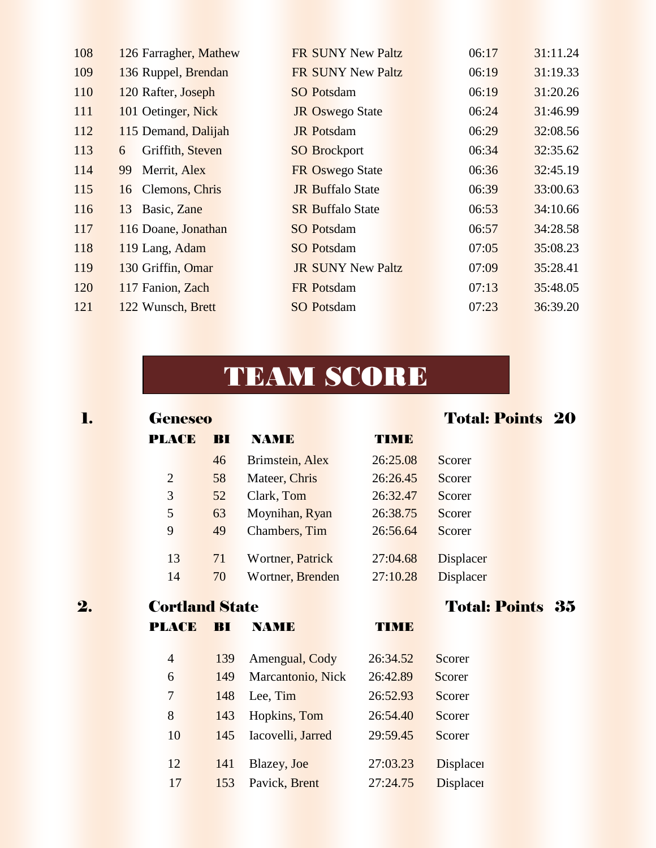| 108 | 126 Farragher, Mathew | <b>FR SUNY New Paltz</b> | 06:17 | 31:11.24 |
|-----|-----------------------|--------------------------|-------|----------|
| 109 | 136 Ruppel, Brendan   | FR SUNY New Paltz        | 06:19 | 31:19.33 |
| 110 | 120 Rafter, Joseph    | <b>SO Potsdam</b>        | 06:19 | 31:20.26 |
| 111 | 101 Oetinger, Nick    | <b>JR Oswego State</b>   | 06:24 | 31:46.99 |
| 112 | 115 Demand, Dalijah   | <b>JR</b> Potsdam        | 06:29 | 32:08.56 |
| 113 | Griffith, Steven<br>6 | <b>SO Brockport</b>      | 06:34 | 32:35.62 |
| 114 | Merrit, Alex<br>99    | FR Oswego State          | 06:36 | 32:45.19 |
| 115 | 16 Clemons, Chris     | <b>JR Buffalo State</b>  | 06:39 | 33:00.63 |
| 116 | 13 Basic, Zane        | <b>SR Buffalo State</b>  | 06:53 | 34:10.66 |
| 117 | 116 Doane, Jonathan   | <b>SO</b> Potsdam        | 06:57 | 34:28.58 |
| 118 | 119 Lang, Adam        | <b>SO</b> Potsdam        | 07:05 | 35:08.23 |
| 119 | 130 Griffin, Omar     | <b>JR SUNY New Paltz</b> | 07:09 | 35:28.41 |
| 120 | 117 Fanion, Zach      | <b>FR</b> Potsdam        | 07:13 | 35:48.05 |
| 121 | 122 Wunsch, Brett     | <b>SO Potsdam</b>        | 07:23 | 36:39.20 |
|     |                       |                          |       |          |

## TEAM SCORE

| l. | <b>Geneseo</b>        |     |                   |          | <b>Total: Points 20</b> |  |
|----|-----------------------|-----|-------------------|----------|-------------------------|--|
|    | <b>PLACE</b>          | BI  | <b>NAME</b>       | TIME     |                         |  |
|    |                       | 46  | Brimstein, Alex   | 26:25.08 | Scorer                  |  |
|    | $\overline{2}$        | 58  | Mateer, Chris     | 26:26.45 | Scorer                  |  |
|    | 3                     | 52  | Clark, Tom        | 26:32.47 | Scorer                  |  |
|    | 5                     | 63  | Moynihan, Ryan    | 26:38.75 | Scorer                  |  |
|    | 9                     | 49  | Chambers, Tim     | 26:56.64 | Scorer                  |  |
|    | 13                    | 71  | Wortner, Patrick  | 27:04.68 | Displacer               |  |
|    | 14                    | 70  | Wortner, Brenden  | 27:10.28 | <b>Displacer</b>        |  |
| 2. | <b>Cortland State</b> |     |                   |          | <b>Total: Points 35</b> |  |
|    | <b>PLACE</b>          | BI  | <b>NAME</b>       | TIME     |                         |  |
|    | $\overline{4}$        | 139 | Amengual, Cody    | 26:34.52 | Scorer                  |  |
|    | 6                     | 149 | Marcantonio, Nick | 26:42.89 | Scorer                  |  |
|    | $\tau$                | 148 | Lee, Tim          | 26:52.93 | Scorer                  |  |
|    | 8                     | 143 | Hopkins, Tom      | 26:54.40 | Scorer                  |  |
|    | 10                    | 145 | Iacovelli, Jarred | 29:59.45 | Scorer                  |  |
|    | 12                    | 141 | Blazey, Joe       | 27:03.23 | <b>Displace</b>         |  |
|    | 17                    | 153 | Pavick, Brent     | 27:24.75 | <b>Displacei</b>        |  |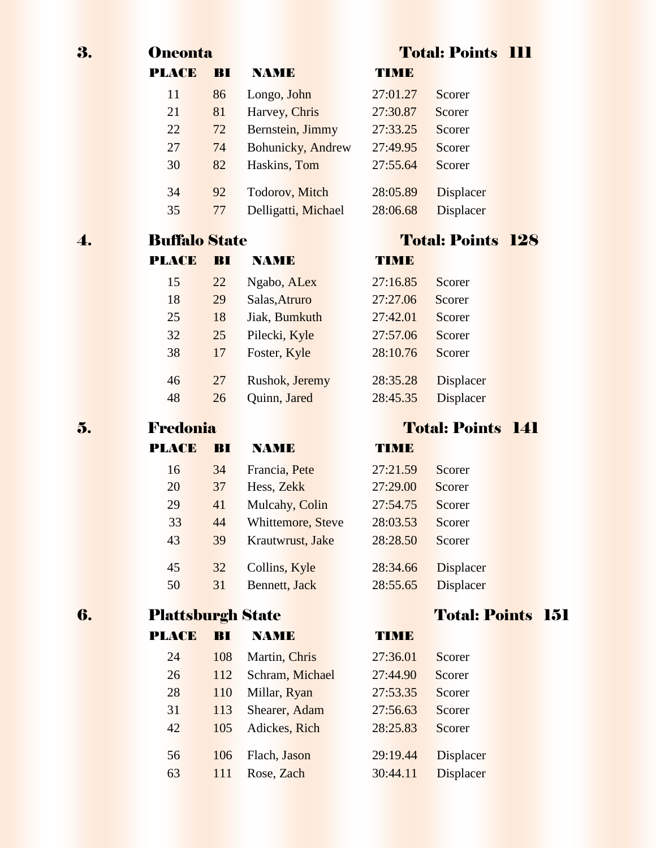| 3. | <b>Oneonta</b>           |     |                     |          | <b>Total: Points III</b> |            |
|----|--------------------------|-----|---------------------|----------|--------------------------|------------|
|    | <b>PLACE</b>             | BI  | <b>NAME</b>         | TIMB     |                          |            |
|    | 11                       | 86  | Longo, John         | 27:01.27 | Scorer                   |            |
|    | 21                       | 81  | Harvey, Chris       | 27:30.87 | Scorer                   |            |
|    | 22                       | 72  | Bernstein, Jimmy    | 27:33.25 | Scorer                   |            |
|    | 27                       | 74  | Bohunicky, Andrew   | 27:49.95 | Scorer                   |            |
|    | 30                       | 82  | Haskins, Tom        | 27:55.64 | Scorer                   |            |
|    | 34                       | 92  | Todorov, Mitch      | 28:05.89 | Displacer                |            |
|    | 35                       | 77  | Delligatti, Michael | 28:06.68 | <b>Displacer</b>         |            |
|    | <b>Buffalo State</b>     |     |                     |          | <b>Total: Points 128</b> |            |
|    | <b>PLACE</b>             | BI  | <b>NAME</b>         | TIMB     |                          |            |
|    | 15                       | 22  | Ngabo, ALex         | 27:16.85 | Scorer                   |            |
|    | 18                       | 29  | Salas, Atruro       | 27:27.06 | Scorer                   |            |
|    | 25                       | 18  | Jiak, Bumkuth       | 27:42.01 | Scorer                   |            |
|    | 32                       | 25  | Pilecki, Kyle       | 27:57.06 | Scorer                   |            |
|    | 38                       | 17  | Foster, Kyle        | 28:10.76 | Scorer                   |            |
|    | 46                       | 27  | Rushok, Jeremy      | 28:35.28 | <b>Displacer</b>         |            |
|    | 48                       | 26  | Quinn, Jared        | 28:45.35 | <b>Displacer</b>         |            |
| 5. | Fredonia                 |     |                     |          | <b>Total: Points 141</b> |            |
|    | PLACE                    | BI  | <b>NAME</b>         | TIME     |                          |            |
|    | 16                       | 34  | Francia, Pete       | 27:21.59 | Scorer                   |            |
|    | 20                       | 37  | Hess, Zekk          | 27:29.00 | Scorer                   |            |
|    | 29                       | 41  | Mulcahy, Colin      | 27:54.75 | Scorer                   |            |
|    | 33                       | 44  | Whittemore, Steve   | 28:03.53 | Scorer                   |            |
|    | 43                       | 39  | Krautwrust, Jake    | 28:28.50 | Scorer                   |            |
|    | 45                       | 32  | Collins, Kyle       | 28:34.66 | <b>Displacer</b>         |            |
|    | 50                       | 31  | Bennett, Jack       | 28:55.65 | <b>Displacer</b>         |            |
| 6. | <b>Plattsburgh State</b> |     |                     |          | <b>Total: Points</b>     | <b>151</b> |
|    | <b>PLACE</b>             | BI  | <b>NAME</b>         | TIME     |                          |            |
|    | 24                       | 108 | Martin, Chris       | 27:36.01 | Scorer                   |            |
|    | 26                       | 112 | Schram, Michael     | 27:44.90 | Scorer                   |            |
|    | 28                       | 110 | Millar, Ryan        | 27:53.35 | Scorer                   |            |
|    | 31                       | 113 | Shearer, Adam       | 27:56.63 | Scorer                   |            |
|    | 42                       | 105 | Adickes, Rich       | 28:25.83 | Scorer                   |            |
|    | 56                       | 106 | Flach, Jason        | 29:19.44 | <b>Displacer</b>         |            |
|    | 63                       | 111 | Rose, Zach          | 30:44.11 | <b>Displacer</b>         |            |
|    |                          |     |                     |          |                          |            |